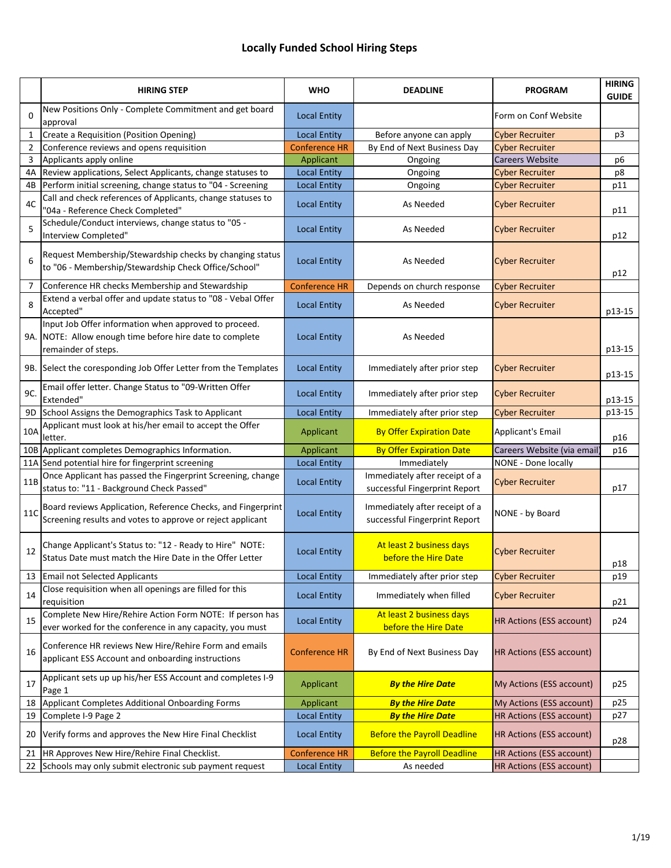## **Locally Funded School Hiring Steps**

|                | <b>HIRING STEP</b>                                                                                                                       | <b>WHO</b>           | <b>DEADLINE</b>                                                 | <b>PROGRAM</b>                  | <b>HIRING</b><br><b>GUIDE</b> |
|----------------|------------------------------------------------------------------------------------------------------------------------------------------|----------------------|-----------------------------------------------------------------|---------------------------------|-------------------------------|
| $\mathbf 0$    | New Positions Only - Complete Commitment and get board<br>approval                                                                       | <b>Local Entity</b>  |                                                                 | Form on Conf Website            |                               |
|                | Create a Requisition (Position Opening)                                                                                                  | <b>Local Entity</b>  | Before anyone can apply                                         | <b>Cyber Recruiter</b>          | p3                            |
| $\overline{2}$ | Conference reviews and opens requisition                                                                                                 | <b>Conference HR</b> | By End of Next Business Day                                     | <b>Cyber Recruiter</b>          |                               |
| 3              | Applicants apply online                                                                                                                  | Applicant            | Ongoing                                                         | <b>Careers Website</b>          | p <sub>6</sub>                |
| 4A             | Review applications, Select Applicants, change statuses to                                                                               | <b>Local Entity</b>  | Ongoing                                                         | <b>Cyber Recruiter</b>          | p8                            |
| 4B             | Perform initial screening, change status to "04 - Screening                                                                              | <b>Local Entity</b>  | Ongoing                                                         | <b>Cyber Recruiter</b>          | p11                           |
| 4C             | Call and check references of Applicants, change statuses to<br>"04a - Reference Check Completed"                                         | <b>Local Entity</b>  | As Needed                                                       | <b>Cyber Recruiter</b>          | p11                           |
| 5              | Schedule/Conduct interviews, change status to "05 -<br>Interview Completed"                                                              | <b>Local Entity</b>  | As Needed                                                       | <b>Cyber Recruiter</b>          | p12                           |
| 6              | Request Membership/Stewardship checks by changing status<br>to "06 - Membership/Stewardship Check Office/School"                         | <b>Local Entity</b>  | As Needed                                                       | <b>Cyber Recruiter</b>          | p12                           |
| 7              | Conference HR checks Membership and Stewardship                                                                                          | <b>Conference HR</b> | Depends on church response                                      | <b>Cyber Recruiter</b>          |                               |
| 8              | Extend a verbal offer and update status to "08 - Vebal Offer<br>Accepted"                                                                | <b>Local Entity</b>  | As Needed                                                       | <b>Cyber Recruiter</b>          | p13-15                        |
|                | Input Job Offer information when approved to proceed.<br>9A. NOTE: Allow enough time before hire date to complete<br>remainder of steps. | <b>Local Entity</b>  | As Needed                                                       |                                 | p13-15                        |
|                | 9B. Select the coresponding Job Offer Letter from the Templates                                                                          | <b>Local Entity</b>  | Immediately after prior step                                    | <b>Cyber Recruiter</b>          | p13-15                        |
| 9C.            | Email offer letter. Change Status to "09-Written Offer<br>Extended"                                                                      | <b>Local Entity</b>  | Immediately after prior step                                    | <b>Cyber Recruiter</b>          | p13-15                        |
| 9D             | School Assigns the Demographics Task to Applicant                                                                                        | <b>Local Entity</b>  | Immediately after prior step                                    | <b>Cyber Recruiter</b>          | p13-15                        |
| 10A            | Applicant must look at his/her email to accept the Offer<br>letter.                                                                      | Applicant            | <b>By Offer Expiration Date</b>                                 | Applicant's Email               | p16                           |
|                | 10B Applicant completes Demographics Information.                                                                                        | Applicant            | <b>By Offer Expiration Date</b>                                 | Careers Website (via email      | p16                           |
|                | 11A Send potential hire for fingerprint screening                                                                                        | <b>Local Entity</b>  | Immediately                                                     | NONE - Done locally             |                               |
| 11B            | Once Applicant has passed the Fingerprint Screening, change<br>status to: "11 - Background Check Passed"                                 | <b>Local Entity</b>  | Immediately after receipt of a<br>successful Fingerprint Report | <b>Cyber Recruiter</b>          | p17                           |
| 11C            | Board reviews Application, Reference Checks, and Fingerprint<br>Screening results and votes to approve or reject applicant               | <b>Local Entity</b>  | Immediately after receipt of a<br>successful Fingerprint Report | NONE - by Board                 |                               |
| 12             | Change Applicant's Status to: "12 - Ready to Hire" NOTE:<br>Status Date must match the Hire Date in the Offer Letter                     | <b>Local Entity</b>  | At least 2 business days<br>before the Hire Date                | <b>Cyber Recruiter</b>          | p18                           |
| 13             | <b>Email not Selected Applicants</b>                                                                                                     | <b>Local Entity</b>  | Immediately after prior step                                    | <b>Cyber Recruiter</b>          | p19                           |
| 14             | Close requisition when all openings are filled for this<br>requisition                                                                   | <b>Local Entity</b>  | Immediately when filled                                         | <b>Cyber Recruiter</b>          | p21                           |
| 15             | Complete New Hire/Rehire Action Form NOTE: If person has<br>ever worked for the conference in any capacity, you must                     | <b>Local Entity</b>  | At least 2 business days<br>before the Hire Date                | HR Actions (ESS account)        | p24                           |
| 16             | Conference HR reviews New Hire/Rehire Form and emails<br>applicant ESS Account and onboarding instructions                               | <b>Conference HR</b> | By End of Next Business Day                                     | <b>HR Actions (ESS account)</b> |                               |
| 17             | Applicant sets up up his/her ESS Account and completes I-9<br>Page 1                                                                     | Applicant            | <b>By the Hire Date</b>                                         | My Actions (ESS account)        | p25                           |
| 18             | Applicant Completes Additional Onboarding Forms                                                                                          | Applicant            | <b>By the Hire Date</b>                                         | My Actions (ESS account)        | p25                           |
| 19             | Complete I-9 Page 2                                                                                                                      | <b>Local Entity</b>  | <b>By the Hire Date</b>                                         | HR Actions (ESS account)        | p27                           |
| 20             | Verify forms and approves the New Hire Final Checklist                                                                                   | <b>Local Entity</b>  | <b>Before the Payroll Deadline</b>                              | HR Actions (ESS account)        | p28                           |
| 21             | HR Approves New Hire/Rehire Final Checklist.                                                                                             | <b>Conference HR</b> | <b>Before the Payroll Deadline</b>                              | HR Actions (ESS account)        |                               |
| 22             | Schools may only submit electronic sub payment request                                                                                   | <b>Local Entity</b>  | As needed                                                       | <b>HR Actions (ESS account)</b> |                               |